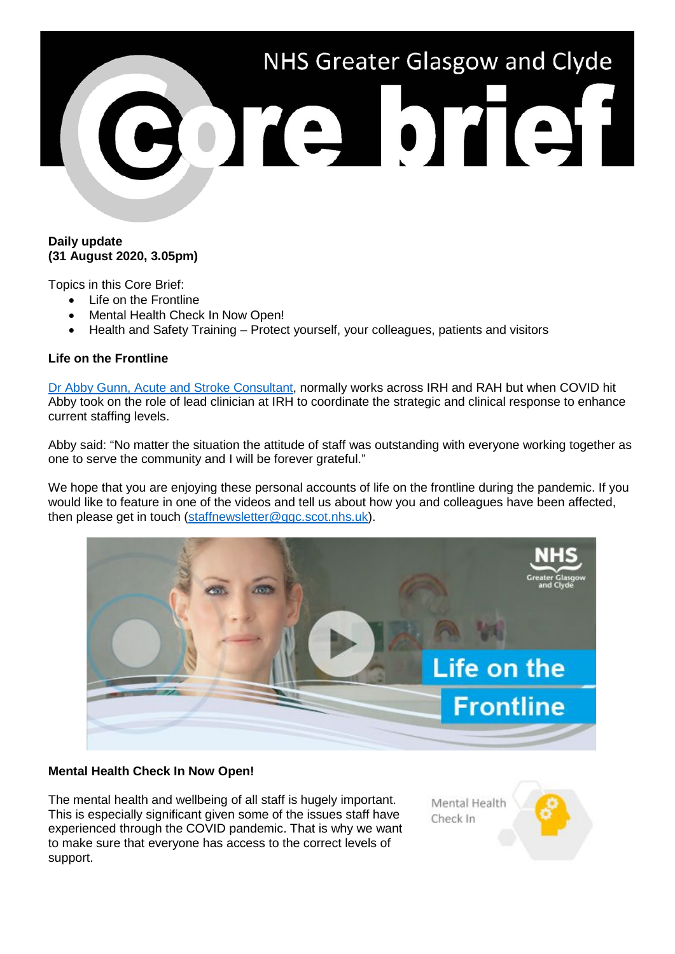

## **Daily update (31 August 2020, 3.05pm)**

Topics in this Core Brief:

- Life on the Frontline
- Mental Health Check In Now Open!
- Health and Safety Training Protect yourself, your colleagues, patients and visitors

## **Life on the Frontline**

Dr Abby [Gunn, Acute and Stroke Consultant,](https://www.youtube.com/watch?v=T7uZQvBgiF0) normally works across IRH and RAH but when COVID hit Abby took on the role of lead clinician at IRH to coordinate the strategic and clinical response to enhance current staffing levels.

Abby said: "No matter the situation the attitude of staff was outstanding with everyone working together as one to serve the community and I will be forever grateful."

We hope that you are enjoying these personal accounts of life on the frontline during the pandemic. If you would like to feature in one of the videos and tell us about how you and colleagues have been affected, then please get in touch [\(staffnewsletter@ggc.scot.nhs.uk\)](mailto:staffnewsletter@ggc.scot.nhs.uk).



## **Mental Health Check In Now Open!**

The mental health and wellbeing of all staff is hugely important. This is especially significant given some of the issues staff have experienced through the COVID pandemic. That is why we want to make sure that everyone has access to the correct levels of support.

Mental Health Check In